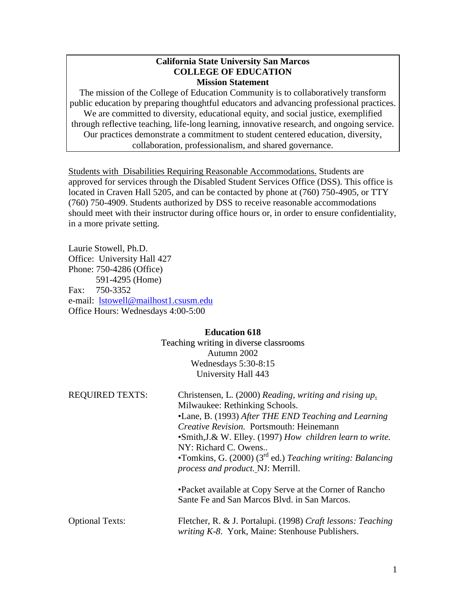#### **California State University San Marcos COLLEGE OF EDUCATION Mission Statement**

The mission of the College of Education Community is to collaboratively transform public education by preparing thoughtful educators and advancing professional practices. We are committed to diversity, educational equity, and social justice, exemplified through reflective teaching, life-long learning, innovative research, and ongoing service. Our practices demonstrate a commitment to student centered education, diversity, collaboration, professionalism, and shared governance.

Students with Disabilities Requiring Reasonable Accommodations. Students are approved for services through the Disabled Student Services Office (DSS). This office is located in Craven Hall 5205, and can be contacted by phone at (760) 750-4905, or TTY (760) 750-4909. Students authorized by DSS to receive reasonable accommodations should meet with their instructor during office hours or, in order to ensure confidentiality, in a more private setting.

Laurie Stowell, Ph.D. Office: University Hall 427 Phone: 750-4286 (Office) 591-4295 (Home) Fax: 750-3352 e-mail: [lstowell@mailhost1.csusm.edu](mailto:lstowell@mailhost1.csusm.edu) Office Hours: Wednesdays 4:00-5:00

#### **Education 618**

Teaching writing in diverse classrooms Autumn 2002 Wednesdays 5:30-8:15 University Hall 443

| <b>REQUIRED TEXTS:</b> | Christensen, L. (2000) Reading, writing and rising up.<br>Milwaukee: Rethinking Schools.<br>•Lane, B. (1993) After THE END Teaching and Learning<br><i>Creative Revision.</i> Portsmouth: Heinemann<br>•Smith, J.& W. Elley. (1997) How children learn to write.<br>NY: Richard C. Owens<br>•Tomkins, G. $(2000)$ $(3rd$ ed.) Teaching writing: Balancing<br><i>process and product.</i> NJ: Merrill. |  |
|------------------------|-------------------------------------------------------------------------------------------------------------------------------------------------------------------------------------------------------------------------------------------------------------------------------------------------------------------------------------------------------------------------------------------------------|--|
|                        | • Packet available at Copy Serve at the Corner of Rancho<br>Sante Fe and San Marcos Blvd. in San Marcos.                                                                                                                                                                                                                                                                                              |  |
| <b>Optional Texts:</b> | Fletcher, R. & J. Portalupi. (1998) Craft lessons: Teaching<br><i>writing K-8. York, Maine: Stenhouse Publishers.</i>                                                                                                                                                                                                                                                                                 |  |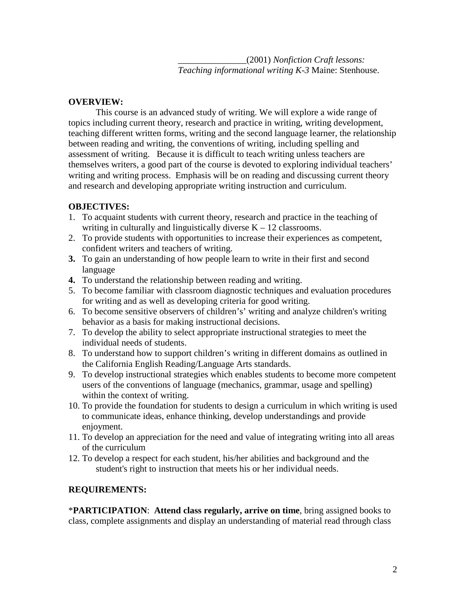\_\_\_\_\_\_\_\_\_\_\_\_\_\_\_(2001) *Nonfiction Craft lessons: Teaching informational writing K-3* Maine: Stenhouse.

## **OVERVIEW:**

This course is an advanced study of writing. We will explore a wide range of topics including current theory, research and practice in writing, writing development, teaching different written forms, writing and the second language learner, the relationship between reading and writing, the conventions of writing, including spelling and assessment of writing. Because it is difficult to teach writing unless teachers are themselves writers, a good part of the course is devoted to exploring individual teachers' writing and writing process. Emphasis will be on reading and discussing current theory and research and developing appropriate writing instruction and curriculum.

## **OBJECTIVES:**

- 1. To acquaint students with current theory, research and practice in the teaching of writing in culturally and linguistically diverse  $K - 12$  classrooms.
- 2. To provide students with opportunities to increase their experiences as competent, confident writers and teachers of writing.
- **3.** To gain an understanding of how people learn to write in their first and second language
- **4.** To understand the relationship between reading and writing.
- 5. To become familiar with classroom diagnostic techniques and evaluation procedures for writing and as well as developing criteria for good writing.
- 6. To become sensitive observers of children's' writing and analyze children's writing behavior as a basis for making instructional decisions.
- 7. To develop the ability to select appropriate instructional strategies to meet the individual needs of students.
- 8. To understand how to support children's writing in different domains as outlined in the California English Reading/Language Arts standards.
- 9. To develop instructional strategies which enables students to become more competent users of the conventions of language (mechanics, grammar, usage and spelling) within the context of writing.
- 10. To provide the foundation for students to design a curriculum in which writing is used to communicate ideas, enhance thinking, develop understandings and provide enjoyment.
- 11. To develop an appreciation for the need and value of integrating writing into all areas of the curriculum
- 12. To develop a respect for each student, his/her abilities and background and the student's right to instruction that meets his or her individual needs.

# **REQUIREMENTS:**

\***PARTICIPATION**: **Attend class regularly, arrive on time**, bring assigned books to class, complete assignments and display an understanding of material read through class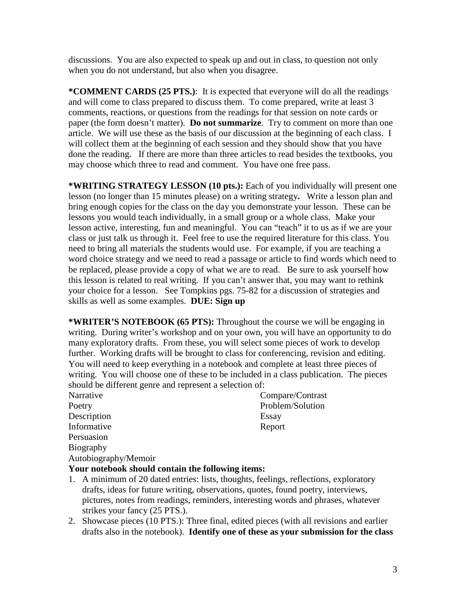discussions. You are also expected to speak up and out in class, to question not only when you do not understand, but also when you disagree.

**\*COMMENT CARDS (25 PTS.)**: It is expected that everyone will do all the readings and will come to class prepared to discuss them. To come prepared, write at least 3 comments, reactions, or questions from the readings for that session on note cards or paper (the form doesn't matter). **Do not summarize**. Try to comment on more than one article. We will use these as the basis of our discussion at the beginning of each class. I will collect them at the beginning of each session and they should show that you have done the reading. If there are more than three articles to read besides the textbooks, you may choose which three to read and comment. You have one free pass.

**\*WRITING STRATEGY LESSON (10 pts.):** Each of you individually will present one lesson (no longer than 15 minutes please) on a writing strategy**.** Write a lesson plan and bring enough copies for the class on the day you demonstrate your lesson. These can be lessons you would teach individually, in a small group or a whole class. Make your lesson active, interesting, fun and meaningful. You can "teach" it to us as if we are your class or just talk us through it. Feel free to use the required literature for this class. You need to bring all materials the students would use. For example, if you are teaching a word choice strategy and we need to read a passage or article to find words which need to be replaced, please provide a copy of what we are to read. Be sure to ask yourself how this lesson is related to real writing. If you can't answer that, you may want to rethink your choice for a lesson. See Tompkins pgs. 75-82 for a discussion of strategies and skills as well as some examples. **DUE: Sign up**

**\*WRITER'S NOTEBOOK (65 PTS):** Throughout the course we will be engaging in writing. During writer's workshop and on your own, you will have an opportunity to do many exploratory drafts. From these, you will select some pieces of work to develop further. Working drafts will be brought to class for conferencing, revision and editing. You will need to keep everything in a notebook and complete at least three pieces of writing. You will choose one of these to be included in a class publication. The pieces should be different genre and represent a selection of:

Description Essay Informative Report **Persuasion** Biography Autobiography/Memoir

Narrative Compare/Contrast Poetry Problem/Solution

## **Your notebook should contain the following items:**

- 1. A minimum of 20 dated entries: lists, thoughts, feelings, reflections, exploratory drafts, ideas for future writing, observations, quotes, found poetry, interviews, pictures, notes from readings, reminders, interesting words and phrases, whatever strikes your fancy (25 PTS.).
- 2. Showcase pieces (10 PTS.): Three final, edited pieces (with all revisions and earlier drafts also in the notebook). **Identify one of these as your submission for the class**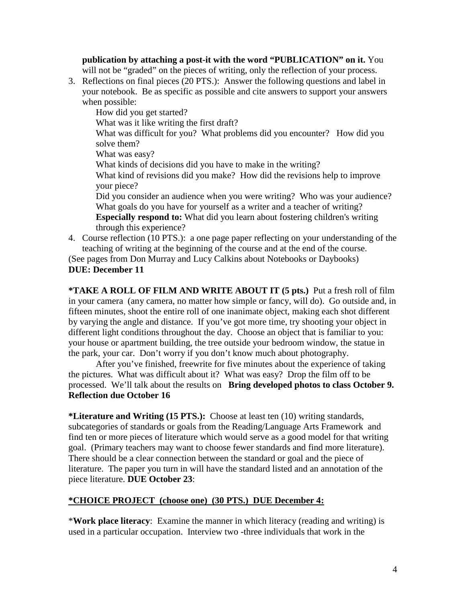**publication by attaching a post-it with the word "PUBLICATION" on it.** You will not be "graded" on the pieces of writing, only the reflection of your process.

3. Reflections on final pieces (20 PTS.): Answer the following questions and label in your notebook. Be as specific as possible and cite answers to support your answers when possible:

How did you get started?

What was it like writing the first draft?

What was difficult for you? What problems did you encounter? How did you solve them?

What was easy?

What kinds of decisions did you have to make in the writing?

What kind of revisions did you make? How did the revisions help to improve your piece?

Did you consider an audience when you were writing? Who was your audience? What goals do you have for yourself as a writer and a teacher of writing? **Especially respond to:** What did you learn about fostering children's writing through this experience?

4. Course reflection (10 PTS.): a one page paper reflecting on your understanding of the teaching of writing at the beginning of the course and at the end of the course.

(See pages from Don Murray and Lucy Calkins about Notebooks or Daybooks) **DUE: December 11**

**\*TAKE A ROLL OF FILM AND WRITE ABOUT IT (5 pts.)** Put a fresh roll of film in your camera (any camera, no matter how simple or fancy, will do). Go outside and, in fifteen minutes, shoot the entire roll of one inanimate object, making each shot different by varying the angle and distance. If you've got more time, try shooting your object in different light conditions throughout the day. Choose an object that is familiar to you: your house or apartment building, the tree outside your bedroom window, the statue in the park, your car. Don't worry if you don't know much about photography.

After you've finished, freewrite for five minutes about the experience of taking the pictures. What was difficult about it? What was easy? Drop the film off to be processed. We'll talk about the results on **Bring developed photos to class October 9. Reflection due October 16**

**\*Literature and Writing (15 PTS.):** Choose at least ten (10) writing standards, subcategories of standards or goals from the Reading/Language Arts Framework and find ten or more pieces of literature which would serve as a good model for that writing goal. (Primary teachers may want to choose fewer standards and find more literature). There should be a clear connection between the standard or goal and the piece of literature. The paper you turn in will have the standard listed and an annotation of the piece literature. **DUE October 23**:

# **\*CHOICE PROJECT (choose one) (30 PTS.) DUE December 4:**

\***Work place literacy**: Examine the manner in which literacy (reading and writing) is used in a particular occupation. Interview two -three individuals that work in the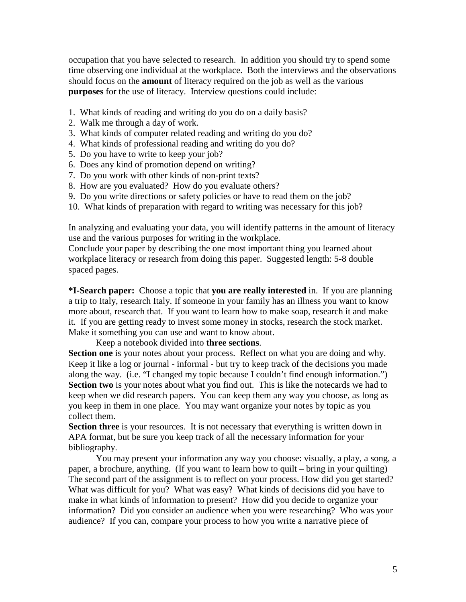occupation that you have selected to research. In addition you should try to spend some time observing one individual at the workplace. Both the interviews and the observations should focus on the **amount** of literacy required on the job as well as the various **purposes** for the use of literacy. Interview questions could include:

- 1. What kinds of reading and writing do you do on a daily basis?
- 2. Walk me through a day of work.
- 3. What kinds of computer related reading and writing do you do?
- 4. What kinds of professional reading and writing do you do?
- 5. Do you have to write to keep your job?
- 6. Does any kind of promotion depend on writing?
- 7. Do you work with other kinds of non-print texts?
- 8. How are you evaluated? How do you evaluate others?
- 9. Do you write directions or safety policies or have to read them on the job?
- 10. What kinds of preparation with regard to writing was necessary for this job?

In analyzing and evaluating your data, you will identify patterns in the amount of literacy use and the various purposes for writing in the workplace.

Conclude your paper by describing the one most important thing you learned about workplace literacy or research from doing this paper. Suggested length: 5-8 double spaced pages.

**\*I-Search paper:** Choose a topic that **you are really interested** in. If you are planning a trip to Italy, research Italy. If someone in your family has an illness you want to know more about, research that. If you want to learn how to make soap, research it and make it. If you are getting ready to invest some money in stocks, research the stock market. Make it something you can use and want to know about.

Keep a notebook divided into **three sections**.

**Section one** is your notes about your process. Reflect on what you are doing and why. Keep it like a log or journal - informal - but try to keep track of the decisions you made along the way. (i.e. "I changed my topic because I couldn't find enough information.") **Section two** is your notes about what you find out. This is like the notecards we had to keep when we did research papers. You can keep them any way you choose, as long as you keep in them in one place. You may want organize your notes by topic as you collect them.

**Section three** is your resources. It is not necessary that everything is written down in APA format, but be sure you keep track of all the necessary information for your bibliography.

You may present your information any way you choose: visually, a play, a song, a paper, a brochure, anything. (If you want to learn how to quilt – bring in your quilting) The second part of the assignment is to reflect on your process. How did you get started? What was difficult for you? What was easy? What kinds of decisions did you have to make in what kinds of information to present? How did you decide to organize your information? Did you consider an audience when you were researching? Who was your audience? If you can, compare your process to how you write a narrative piece of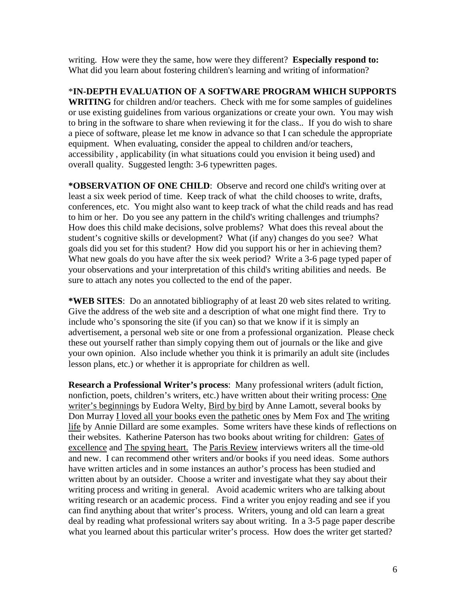writing. How were they the same, how were they different? **Especially respond to:** What did you learn about fostering children's learning and writing of information?

\***IN-DEPTH EVALUATION OF A SOFTWARE PROGRAM WHICH SUPPORTS WRITING** for children and/or teachers. Check with me for some samples of guidelines or use existing guidelines from various organizations or create your own. You may wish to bring in the software to share when reviewing it for the class.. If you do wish to share a piece of software, please let me know in advance so that I can schedule the appropriate equipment. When evaluating, consider the appeal to children and/or teachers, accessibility , applicability (in what situations could you envision it being used) and overall quality. Suggested length: 3-6 typewritten pages.

**\*OBSERVATION OF ONE CHILD**: Observe and record one child's writing over at least a six week period of time. Keep track of what the child chooses to write, drafts, conferences, etc. You might also want to keep track of what the child reads and has read to him or her. Do you see any pattern in the child's writing challenges and triumphs? How does this child make decisions, solve problems? What does this reveal about the student's cognitive skills or development? What (if any) changes do you see? What goals did you set for this student? How did you support his or her in achieving them? What new goals do you have after the six week period? Write a 3-6 page typed paper of your observations and your interpretation of this child's writing abilities and needs. Be sure to attach any notes you collected to the end of the paper.

**\*WEB SITES**: Do an annotated bibliography of at least 20 web sites related to writing. Give the address of the web site and a description of what one might find there. Try to include who's sponsoring the site (if you can) so that we know if it is simply an advertisement, a personal web site or one from a professional organization. Please check these out yourself rather than simply copying them out of journals or the like and give your own opinion. Also include whether you think it is primarily an adult site (includes lesson plans, etc.) or whether it is appropriate for children as well.

**Research a Professional Writer's process**: Many professional writers (adult fiction, nonfiction, poets, children's writers, etc.) have written about their writing process: One writer's beginnings by Eudora Welty, Bird by bird by Anne Lamott, several books by Don Murray I loved all your books even the pathetic ones by Mem Fox and The writing life by Annie Dillard are some examples. Some writers have these kinds of reflections on their websites. Katherine Paterson has two books about writing for children: Gates of excellence and The spying heart. The Paris Review interviews writers all the time-old and new. I can recommend other writers and/or books if you need ideas. Some authors have written articles and in some instances an author's process has been studied and written about by an outsider. Choose a writer and investigate what they say about their writing process and writing in general. Avoid academic writers who are talking about writing research or an academic process. Find a writer you enjoy reading and see if you can find anything about that writer's process. Writers, young and old can learn a great deal by reading what professional writers say about writing. In a 3-5 page paper describe what you learned about this particular writer's process. How does the writer get started?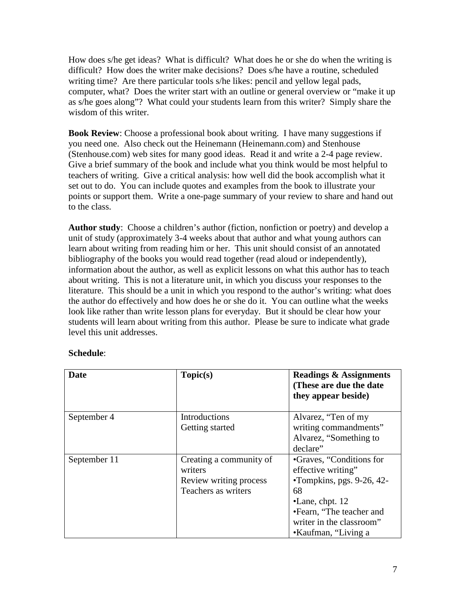How does s/he get ideas? What is difficult? What does he or she do when the writing is difficult? How does the writer make decisions? Does s/he have a routine, scheduled writing time? Are there particular tools s/he likes: pencil and yellow legal pads, computer, what? Does the writer start with an outline or general overview or "make it up as s/he goes along"? What could your students learn from this writer? Simply share the wisdom of this writer.

**Book Review**: Choose a professional book about writing. I have many suggestions if you need one. Also check out the Heinemann (Heinemann.com) and Stenhouse (Stenhouse.com) web sites for many good ideas. Read it and write a 2-4 page review. Give a brief summary of the book and include what you think would be most helpful to teachers of writing. Give a critical analysis: how well did the book accomplish what it set out to do. You can include quotes and examples from the book to illustrate your points or support them. Write a one-page summary of your review to share and hand out to the class.

**Author study**: Choose a children's author (fiction, nonfiction or poetry) and develop a unit of study (approximately 3-4 weeks about that author and what young authors can learn about writing from reading him or her. This unit should consist of an annotated bibliography of the books you would read together (read aloud or independently), information about the author, as well as explicit lessons on what this author has to teach about writing. This is not a literature unit, in which you discuss your responses to the literature. This should be a unit in which you respond to the author's writing: what does the author do effectively and how does he or she do it. You can outline what the weeks look like rather than write lesson plans for everyday. But it should be clear how your students will learn about writing from this author. Please be sure to indicate what grade level this unit addresses.

| Date         | Topic(s)                | <b>Readings &amp; Assignments</b><br>(These are due the date)<br>they appear beside) |
|--------------|-------------------------|--------------------------------------------------------------------------------------|
| September 4  | Introductions           | Alvarez, "Ten of my                                                                  |
|              | Getting started         | writing commandments"                                                                |
|              |                         | Alvarez, "Something to                                                               |
|              |                         | declare"                                                                             |
| September 11 | Creating a community of | •Graves, "Conditions for                                                             |
|              | writers                 | effective writing"                                                                   |
|              | Review writing process  | •Tompkins, pgs. 9-26, 42-                                                            |
|              | Teachers as writers     | 68                                                                                   |
|              |                         | $\bullet$ Lane, chpt. 12                                                             |
|              |                         | •Fearn, "The teacher and                                                             |
|              |                         | writer in the classroom"                                                             |
|              |                         | •Kaufman, "Living a                                                                  |

## **Schedule**: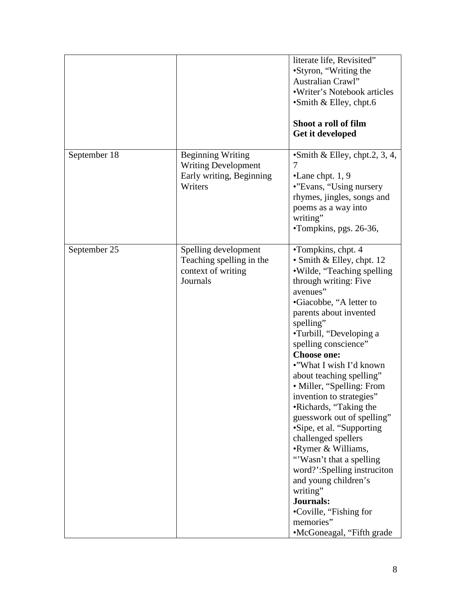|              |                                                                                               | literate life, Revisited"<br>•Styron, "Writing the<br>Australian Crawl"<br>•Writer's Notebook articles<br>•Smith & Elley, chpt.6<br>Shoot a roll of film<br>Get it developed                                                                                                                                                                                                                                                                                                                                                                                                                                                                                                                           |
|--------------|-----------------------------------------------------------------------------------------------|--------------------------------------------------------------------------------------------------------------------------------------------------------------------------------------------------------------------------------------------------------------------------------------------------------------------------------------------------------------------------------------------------------------------------------------------------------------------------------------------------------------------------------------------------------------------------------------------------------------------------------------------------------------------------------------------------------|
| September 18 | <b>Beginning Writing</b><br><b>Writing Development</b><br>Early writing, Beginning<br>Writers | • Smith & Elley, chpt.2, 3, 4,<br>$\bullet$ Lane chpt. 1, 9<br>•"Evans, "Using nursery"<br>rhymes, jingles, songs and<br>poems as a way into<br>writing"<br>•Tompkins, pgs. 26-36,                                                                                                                                                                                                                                                                                                                                                                                                                                                                                                                     |
| September 25 | Spelling development<br>Teaching spelling in the<br>context of writing<br>Journals            | •Tompkins, chpt. 4<br>• Smith & Elley, chpt. 12<br>•Wilde, "Teaching spelling<br>through writing: Five<br>avenues"<br>•Giacobbe, "A letter to<br>parents about invented<br>spelling"<br>•Turbill, "Developing a<br>spelling conscience"<br><b>Choose one:</b><br>•"What I wish I'd known<br>about teaching spelling"<br>• Miller, "Spelling: From<br>invention to strategies"<br>•Richards, "Taking the<br>guesswork out of spelling"<br>•Sipe, et al. "Supporting<br>challenged spellers<br>•Rymer & Williams,<br>"Wasn't that a spelling"<br>word?':Spelling instruciton<br>and young children's<br>writing"<br><b>Journals:</b><br>•Coville, "Fishing for<br>memories"<br>•McGoneagal, "Fifth grade |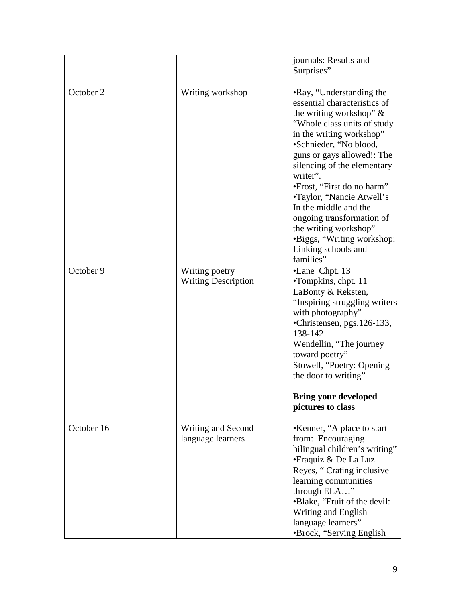|            |                                              | journals: Results and<br>Surprises"                                                                                                                                                                                                                                                                                                                                                                                                                               |
|------------|----------------------------------------------|-------------------------------------------------------------------------------------------------------------------------------------------------------------------------------------------------------------------------------------------------------------------------------------------------------------------------------------------------------------------------------------------------------------------------------------------------------------------|
| October 2  | Writing workshop                             | •Ray, "Understanding the<br>essential characteristics of<br>the writing workshop" $\&$<br>"Whole class units of study"<br>in the writing workshop"<br>•Schnieder, "No blood,<br>guns or gays allowed!: The<br>silencing of the elementary<br>writer".<br>•Frost, "First do no harm"<br>•Taylor, "Nancie Atwell's<br>In the middle and the<br>ongoing transformation of<br>the writing workshop"<br>•Biggs, "Writing workshop:<br>Linking schools and<br>families" |
| October 9  | Writing poetry<br><b>Writing Description</b> | •Lane Chpt. 13<br>•Tompkins, chpt. 11<br>LaBonty & Reksten,<br>"Inspiring struggling writers<br>with photography"<br>•Christensen, pgs.126-133,<br>138-142<br>Wendellin, "The journey<br>toward poetry"<br>Stowell, "Poetry: Opening<br>the door to writing"<br><b>Bring your developed</b><br>pictures to class                                                                                                                                                  |
| October 16 | Writing and Second<br>language learners      | •Kenner, "A place to start<br>from: Encouraging<br>bilingual children's writing"<br>• Fraquiz & De La Luz<br>Reyes, "Crating inclusive<br>learning communities<br>through ELA"<br>•Blake, "Fruit of the devil:<br>Writing and English<br>language learners"<br>•Brock, "Serving English"                                                                                                                                                                          |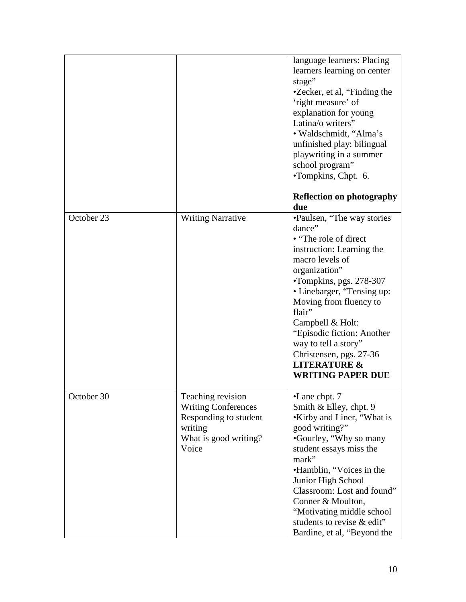|            |                                                                                                                       | language learners: Placing<br>learners learning on center<br>stage"<br>•Zecker, et al, "Finding the<br>'right measure' of<br>explanation for young<br>Latina/o writers"<br>· Waldschmidt, "Alma's<br>unfinished play: bilingual<br>playwriting in a summer<br>school program"<br>·Tompkins, Chpt. 6.                                                                                      |
|------------|-----------------------------------------------------------------------------------------------------------------------|-------------------------------------------------------------------------------------------------------------------------------------------------------------------------------------------------------------------------------------------------------------------------------------------------------------------------------------------------------------------------------------------|
|            |                                                                                                                       | <b>Reflection on photography</b><br>due                                                                                                                                                                                                                                                                                                                                                   |
| October 23 | <b>Writing Narrative</b>                                                                                              | •Paulsen, "The way stories"<br>dance"<br>• "The role of direct"<br>instruction: Learning the<br>macro levels of<br>organization"<br>•Tompkins, pgs. 278-307<br>• Linebarger, "Tensing up:<br>Moving from fluency to<br>flair"<br>Campbell & Holt:<br>"Episodic fiction: Another<br>way to tell a story"<br>Christensen, pgs. 27-36<br><b>LITERATURE &amp;</b><br><b>WRITING PAPER DUE</b> |
| October 30 | Teaching revision<br><b>Writing Conferences</b><br>Responding to student<br>writing<br>What is good writing?<br>Voice | •Lane chpt. 7<br>Smith & Elley, chpt. 9<br>•Kirby and Liner, "What is<br>good writing?"<br>•Gourley, "Why so many<br>student essays miss the<br>mark"<br>•Hamblin, "Voices in the<br>Junior High School<br>Classroom: Lost and found"<br>Conner & Moulton,<br>"Motivating middle school"<br>students to revise & edit"<br>Bardine, et al, "Beyond the                                     |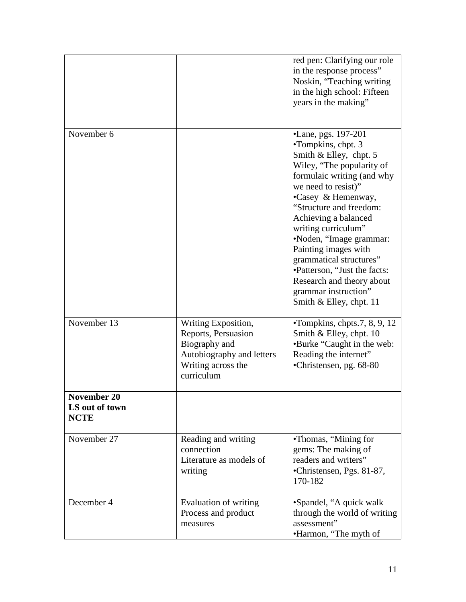|                                                     |                                                                                                       | red pen: Clarifying our role<br>in the response process"<br>Noskin, "Teaching writing<br>in the high school: Fifteen<br>years in the making"                                                                                                                                                                                                                                                                                                                                                      |  |
|-----------------------------------------------------|-------------------------------------------------------------------------------------------------------|---------------------------------------------------------------------------------------------------------------------------------------------------------------------------------------------------------------------------------------------------------------------------------------------------------------------------------------------------------------------------------------------------------------------------------------------------------------------------------------------------|--|
| November 6<br>November 13                           | Writing Exposition,                                                                                   | •Lane, pgs. 197-201<br>$\cdot$ Tompkins, chpt. 3<br>Smith & Elley, chpt. 5<br>Wiley, "The popularity of<br>formulaic writing (and why<br>we need to resist)"<br>•Casey & Hemenway,<br>"Structure and freedom:<br>Achieving a balanced<br>writing curriculum"<br>•Noden, "Image grammar:<br>Painting images with<br>grammatical structures"<br>•Patterson, "Just the facts:<br>Research and theory about<br>grammar instruction"<br>Smith & Elley, chpt. 11<br>$\cdot$ Tompkins, chpts.7, 8, 9, 12 |  |
|                                                     | Reports, Persuasion<br>Biography and<br>Autobiography and letters<br>Writing across the<br>curriculum | Smith & Elley, chpt. 10<br>•Burke "Caught in the web:<br>Reading the internet"<br>•Christensen, pg. 68-80                                                                                                                                                                                                                                                                                                                                                                                         |  |
| <b>November 20</b><br>LS out of town<br><b>NCTE</b> |                                                                                                       |                                                                                                                                                                                                                                                                                                                                                                                                                                                                                                   |  |
| November 27                                         | Reading and writing<br>connection<br>Literature as models of<br>writing                               | •Thomas, "Mining for<br>gems: The making of<br>readers and writers"<br>•Christensen, Pgs. 81-87,<br>170-182                                                                                                                                                                                                                                                                                                                                                                                       |  |
| December 4                                          | Evaluation of writing<br>Process and product<br>measures                                              | •Spandel, "A quick walk<br>through the world of writing<br>assessment"<br>•Harmon, "The myth of                                                                                                                                                                                                                                                                                                                                                                                                   |  |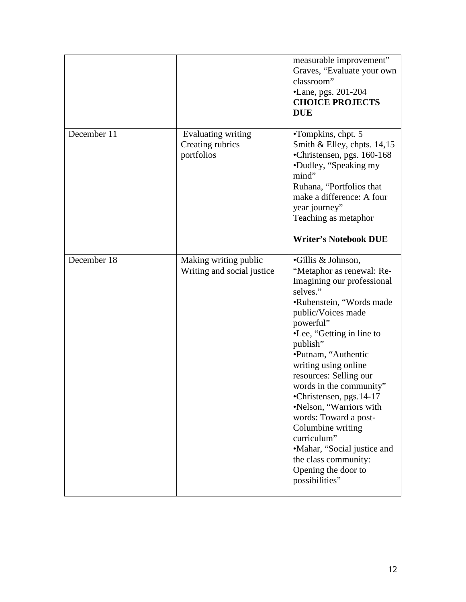|             |                                                      | measurable improvement"<br>Graves, "Evaluate your own<br>classroom"<br>•Lane, pgs. 201-204<br><b>CHOICE PROJECTS</b><br><b>DUE</b>                                                                                                                                                                                                                                                                                                                                                                                        |
|-------------|------------------------------------------------------|---------------------------------------------------------------------------------------------------------------------------------------------------------------------------------------------------------------------------------------------------------------------------------------------------------------------------------------------------------------------------------------------------------------------------------------------------------------------------------------------------------------------------|
| December 11 | Evaluating writing<br>Creating rubrics<br>portfolios | •Tompkins, chpt. 5<br>Smith & Elley, chpts. $14,15$<br>•Christensen, pgs. 160-168<br>•Dudley, "Speaking my<br>mind"<br>Ruhana, "Portfolios that<br>make a difference: A four<br>year journey"<br>Teaching as metaphor<br><b>Writer's Notebook DUE</b>                                                                                                                                                                                                                                                                     |
| December 18 | Making writing public<br>Writing and social justice  | •Gillis & Johnson,<br>"Metaphor as renewal: Re-<br>Imagining our professional<br>selves."<br>•Rubenstein, "Words made<br>public/Voices made<br>powerful"<br>•Lee, "Getting in line to<br>publish"<br>•Putnam, "Authentic<br>writing using online<br>resources: Selling our<br>words in the community"<br>•Christensen, pgs. 14-17<br>•Nelson, "Warriors with<br>words: Toward a post-<br>Columbine writing<br>curriculum"<br>•Mahar, "Social justice and<br>the class community:<br>Opening the door to<br>possibilities" |